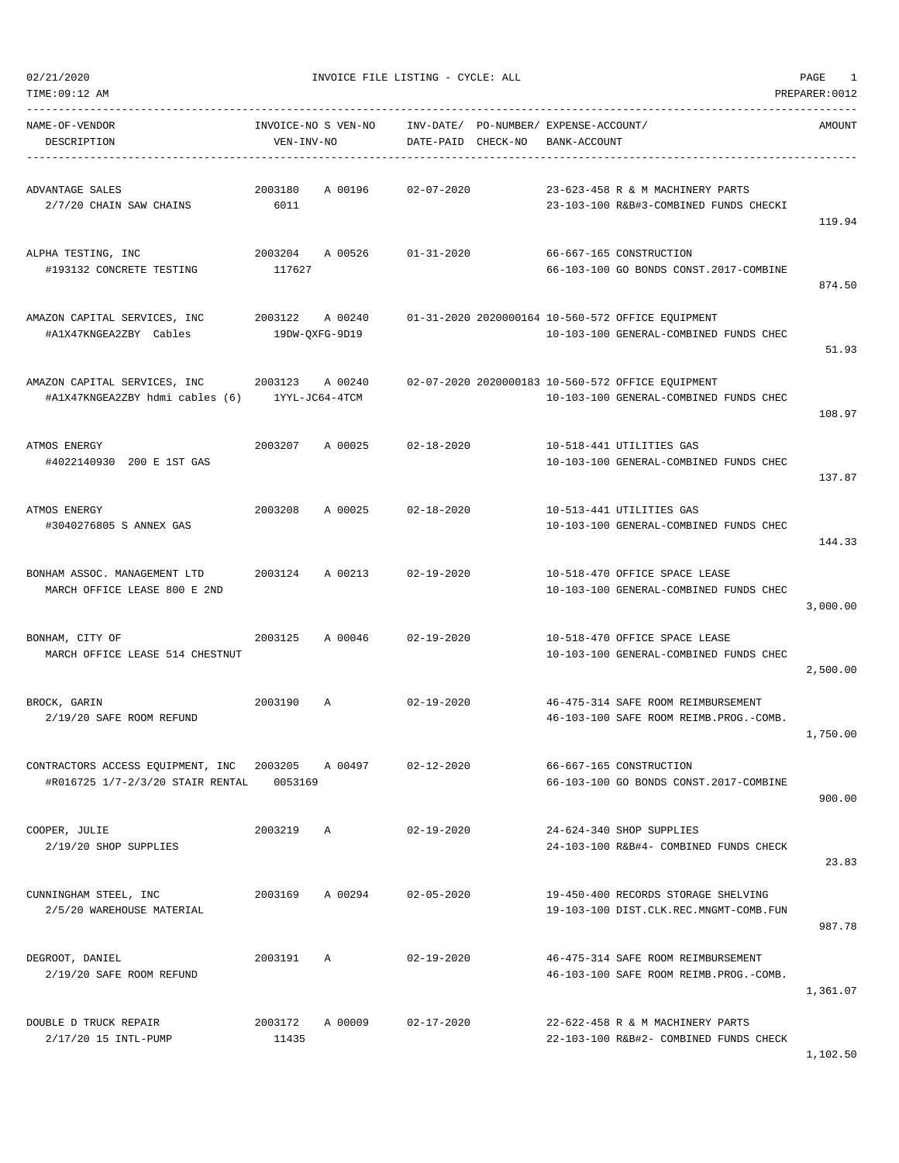| NAME-OF-VENDOR<br>DESCRIPTION                                                          | INVOICE-NO S VEN-NO<br>VEN-INV-NO |         | DATE-PAID CHECK-NO | INV-DATE/ PO-NUMBER/ EXPENSE-ACCOUNT/<br>BANK-ACCOUNT |                                                                                             | AMOUNT   |
|----------------------------------------------------------------------------------------|-----------------------------------|---------|--------------------|-------------------------------------------------------|---------------------------------------------------------------------------------------------|----------|
| ADVANTAGE SALES<br>2/7/20 CHAIN SAW CHAINS                                             | 2003180<br>6011                   | A 00196 | $02 - 07 - 2020$   |                                                       | 23-623-458 R & M MACHINERY PARTS<br>23-103-100 R&B#3-COMBINED FUNDS CHECKI                  | 119.94   |
| ALPHA TESTING, INC<br>#193132 CONCRETE TESTING                                         | 2003204<br>117627                 | A 00526 | $01 - 31 - 2020$   |                                                       | 66-667-165 CONSTRUCTION<br>66-103-100 GO BONDS CONST.2017-COMBINE                           | 874.50   |
| AMAZON CAPITAL SERVICES, INC<br>#A1X47KNGEA2ZBY Cables                                 | 2003122 A 00240<br>19DW-QXFG-9D19 |         |                    |                                                       | 01-31-2020 2020000164 10-560-572 OFFICE EQUIPMENT<br>10-103-100 GENERAL-COMBINED FUNDS CHEC | 51.93    |
| AMAZON CAPITAL SERVICES, INC 2003123<br>#A1X47KNGEA2ZBY hdmi cables (6) 1YYL-JC64-4TCM |                                   | A 00240 |                    |                                                       | 02-07-2020 2020000183 10-560-572 OFFICE EQUIPMENT<br>10-103-100 GENERAL-COMBINED FUNDS CHEC | 108.97   |
| ATMOS ENERGY<br>#4022140930 200 E 1ST GAS                                              | 2003207                           | A 00025 | $02 - 18 - 2020$   |                                                       | 10-518-441 UTILITIES GAS<br>10-103-100 GENERAL-COMBINED FUNDS CHEC                          | 137.87   |
| ATMOS ENERGY<br>#3040276805 S ANNEX GAS                                                | 2003208                           | A 00025 | $02 - 18 - 2020$   |                                                       | 10-513-441 UTILITIES GAS<br>10-103-100 GENERAL-COMBINED FUNDS CHEC                          | 144.33   |
| BONHAM ASSOC. MANAGEMENT LTD<br>MARCH OFFICE LEASE 800 E 2ND                           | 2003124                           | A 00213 | $02 - 19 - 2020$   |                                                       | 10-518-470 OFFICE SPACE LEASE<br>10-103-100 GENERAL-COMBINED FUNDS CHEC                     | 3,000.00 |
| BONHAM, CITY OF<br>MARCH OFFICE LEASE 514 CHESTNUT                                     | 2003125                           | A 00046 | $02 - 19 - 2020$   |                                                       | 10-518-470 OFFICE SPACE LEASE<br>10-103-100 GENERAL-COMBINED FUNDS CHEC                     | 2,500.00 |
| BROCK, GARIN<br>2/19/20 SAFE ROOM REFUND                                               | 2003190                           | Α       | $02 - 19 - 2020$   |                                                       | 46-475-314 SAFE ROOM REIMBURSEMENT<br>46-103-100 SAFE ROOM REIMB. PROG. - COMB.             | 1,750.00 |
| CONTRACTORS ACCESS EQUIPMENT, INC<br>#R016725 1/7-2/3/20 STAIR RENTAL                  | 2003205<br>0053169                | A 00497 | $02 - 12 - 2020$   |                                                       | 66-667-165 CONSTRUCTION<br>66-103-100 GO BONDS CONST.2017-COMBINE                           | 900.00   |
| COOPER, JULIE<br>2/19/20 SHOP SUPPLIES                                                 | 2003219                           | Α       | $02 - 19 - 2020$   |                                                       | 24-624-340 SHOP SUPPLIES<br>24-103-100 R&B#4- COMBINED FUNDS CHECK                          | 23.83    |
| CUNNINGHAM STEEL, INC<br>2/5/20 WAREHOUSE MATERIAL                                     | 2003169                           | A 00294 | $02 - 05 - 2020$   |                                                       | 19-450-400 RECORDS STORAGE SHELVING<br>19-103-100 DIST.CLK.REC.MNGMT-COMB.FUN               | 987.78   |
| DEGROOT, DANIEL<br>2/19/20 SAFE ROOM REFUND                                            | 2003191                           | Α       | $02 - 19 - 2020$   |                                                       | 46-475-314 SAFE ROOM REIMBURSEMENT<br>46-103-100 SAFE ROOM REIMB. PROG. - COMB.             | 1,361.07 |
| DOUBLE D TRUCK REPAIR<br>2/17/20 15 INTL-PUMP                                          | 2003172<br>11435                  | A 00009 | $02 - 17 - 2020$   |                                                       | 22-622-458 R & M MACHINERY PARTS<br>22-103-100 R&B#2- COMBINED FUNDS CHECK                  | 1,102.50 |

TIME:09:12 AM PREPARER:0012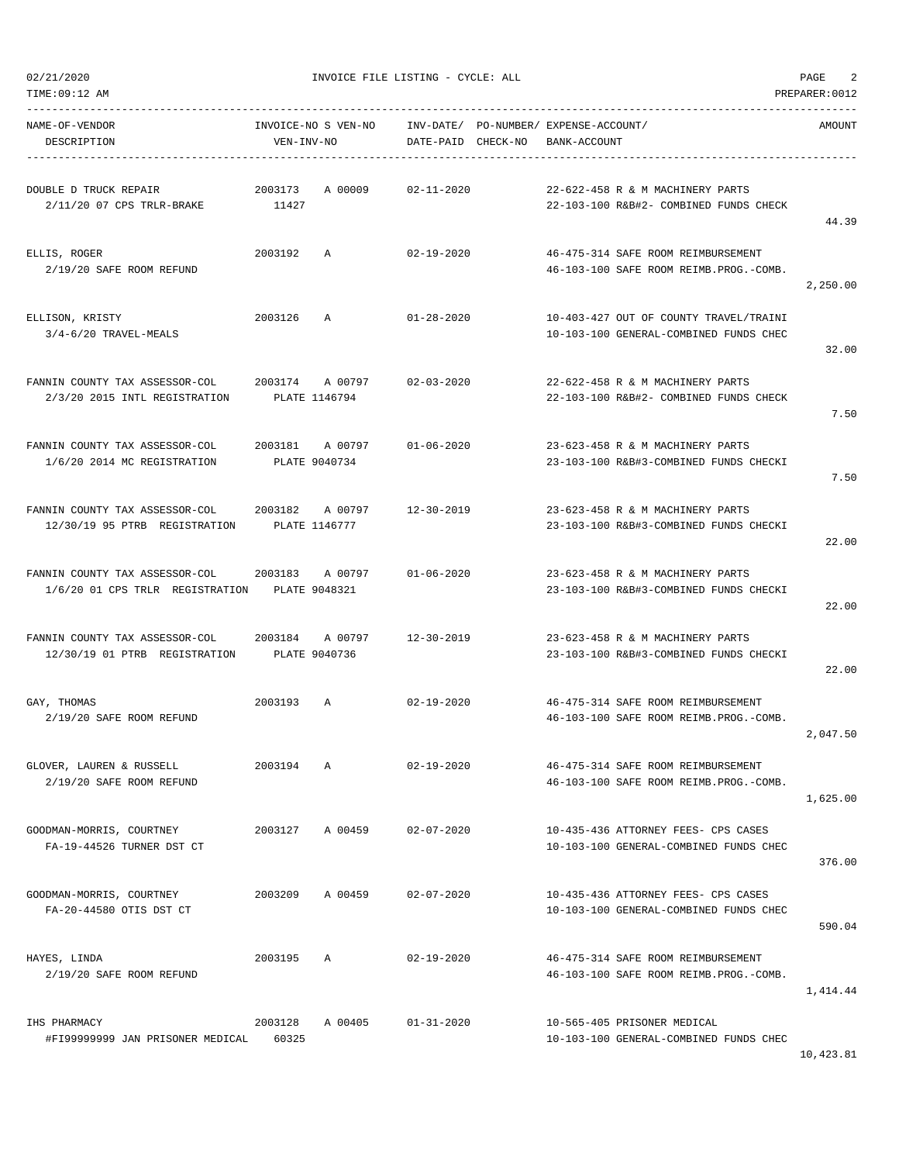TIME:09:12 AM PREPARER:0012

02/21/2020 INVOICE FILE LISTING - CYCLE: ALL PAGE 2

| NAME-OF-VENDOR<br>DESCRIPTION                                                   | VEN-INV-NO       | INVOICE-NO S VEN-NO              | DATE-PAID CHECK-NO         | INV-DATE/ PO-NUMBER/ EXPENSE-ACCOUNT/<br>BANK-ACCOUNT                            | AMOUNT   |
|---------------------------------------------------------------------------------|------------------|----------------------------------|----------------------------|----------------------------------------------------------------------------------|----------|
| DOUBLE D TRUCK REPAIR<br>2/11/20 07 CPS TRLR-BRAKE                              | 2003173<br>11427 | A 00009                          | 02-11-2020                 | 22-622-458 R & M MACHINERY PARTS<br>22-103-100 R&B#2- COMBINED FUNDS CHECK       | 44.39    |
| ELLIS, ROGER<br>2/19/20 SAFE ROOM REFUND                                        | 2003192 A        |                                  | 02-19-2020                 | 46-475-314 SAFE ROOM REIMBURSEMENT<br>46-103-100 SAFE ROOM REIMB. PROG. - COMB.  | 2,250.00 |
| ELLISON, KRISTY<br>$3/4 - 6/20$ TRAVEL-MEALS                                    | 2003126 A        |                                  | $01 - 28 - 2020$           | 10-403-427 OUT OF COUNTY TRAVEL/TRAINI<br>10-103-100 GENERAL-COMBINED FUNDS CHEC | 32.00    |
| FANNIN COUNTY TAX ASSESSOR-COL<br>2/3/20 2015 INTL REGISTRATION                 | PLATE 1146794    | 2003174 A 00797                  | 02-03-2020                 | 22-622-458 R & M MACHINERY PARTS<br>22-103-100 R&B#2- COMBINED FUNDS CHECK       | 7.50     |
| FANNIN COUNTY TAX ASSESSOR-COL<br>1/6/20 2014 MC REGISTRATION                   |                  | 2003181 A 00797<br>PLATE 9040734 | 01-06-2020                 | 23-623-458 R & M MACHINERY PARTS<br>23-103-100 R&B#3-COMBINED FUNDS CHECKI       | 7.50     |
| 12/30/19 95 PTRB REGISTRATION PLATE 1146777                                     |                  |                                  |                            | 23-623-458 R & M MACHINERY PARTS<br>23-103-100 R&B#3-COMBINED FUNDS CHECKI       | 22.00    |
| FANNIN COUNTY TAX ASSESSOR-COL<br>1/6/20 01 CPS TRLR REGISTRATION PLATE 9048321 |                  |                                  | 2003183 A 00797 01-06-2020 | 23-623-458 R & M MACHINERY PARTS<br>23-103-100 R&B#3-COMBINED FUNDS CHECKI       | 22.00    |
| FANNIN COUNTY TAX ASSESSOR-COL<br>12/30/19 01 PTRB REGISTRATION                 | PLATE 9040736    | 2003184 A00797                   | 12-30-2019                 | 23-623-458 R & M MACHINERY PARTS<br>23-103-100 R&B#3-COMBINED FUNDS CHECKI       | 22.00    |
| GAY, THOMAS<br>2/19/20 SAFE ROOM REFUND                                         | 2003193 A        |                                  | 02-19-2020                 | 46-475-314 SAFE ROOM REIMBURSEMENT<br>46-103-100 SAFE ROOM REIMB.PROG.-COMB.     | 2,047.50 |
| GLOVER, LAUREN & RUSSELL<br>2/19/20 SAFE ROOM REFUND                            | 2003194          | Α                                | $02 - 19 - 2020$           | 46-475-314 SAFE ROOM REIMBURSEMENT<br>46-103-100 SAFE ROOM REIMB. PROG. - COMB.  | 1,625.00 |
| GOODMAN-MORRIS, COURTNEY<br>FA-19-44526 TURNER DST CT                           | 2003127          | A 00459                          | $02 - 07 - 2020$           | 10-435-436 ATTORNEY FEES- CPS CASES<br>10-103-100 GENERAL-COMBINED FUNDS CHEC    | 376.00   |
| GOODMAN-MORRIS, COURTNEY<br>FA-20-44580 OTIS DST CT                             | 2003209          | A 00459                          | $02 - 07 - 2020$           | 10-435-436 ATTORNEY FEES- CPS CASES<br>10-103-100 GENERAL-COMBINED FUNDS CHEC    | 590.04   |
| HAYES, LINDA<br>2/19/20 SAFE ROOM REFUND                                        | 2003195          | $\mathbb{A}$                     | $02 - 19 - 2020$           | 46-475-314 SAFE ROOM REIMBURSEMENT<br>46-103-100 SAFE ROOM REIMB. PROG. - COMB.  | 1,414.44 |
| IHS PHARMACY<br>#FI99999999 JAN PRISONER MEDICAL                                | 2003128<br>60325 | A 00405                          | $01 - 31 - 2020$           | 10-565-405 PRISONER MEDICAL<br>10-103-100 GENERAL-COMBINED FUNDS CHEC            |          |

10,423.81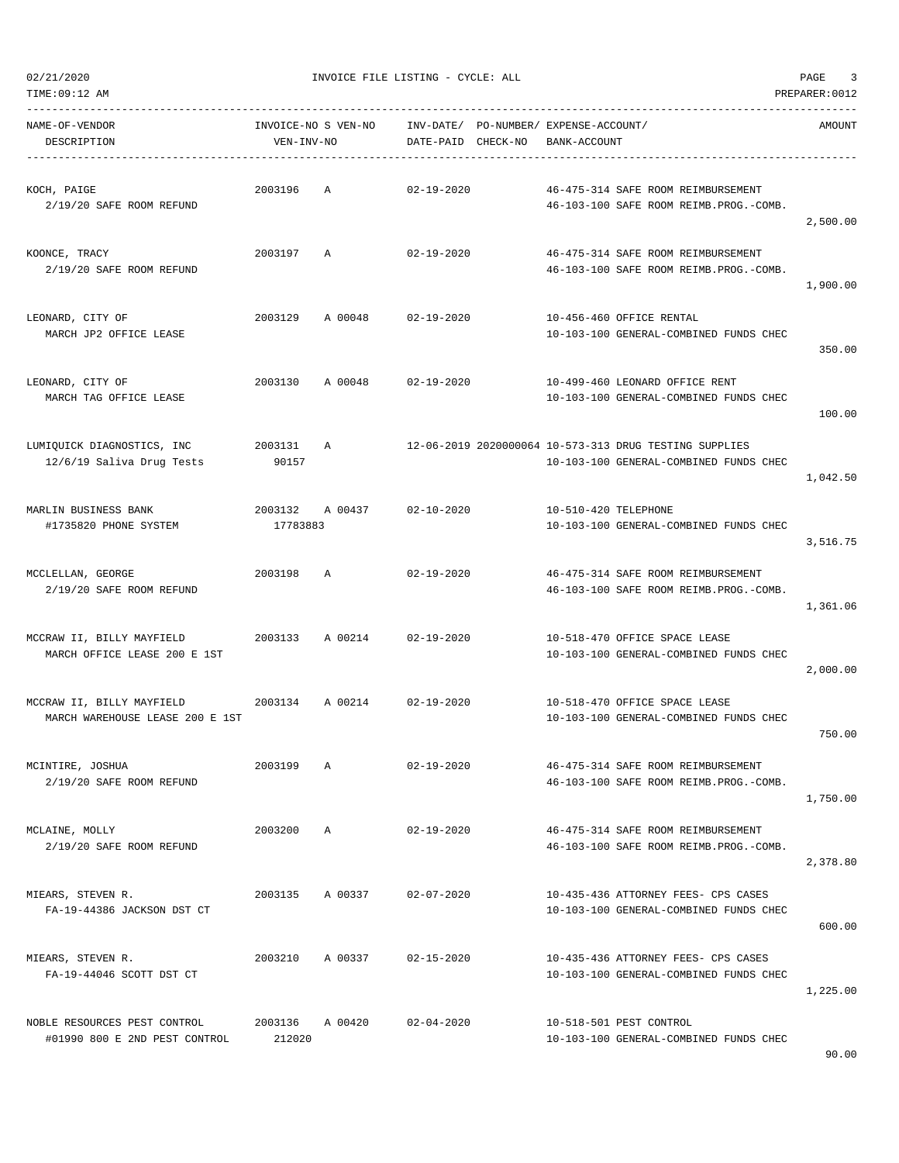| TIME:09:12 AM<br>PREPARER: 0012                               |                                   |          |                                 |  |                                             |                                                                                                  |          |  |  |
|---------------------------------------------------------------|-----------------------------------|----------|---------------------------------|--|---------------------------------------------|--------------------------------------------------------------------------------------------------|----------|--|--|
| NAME-OF-VENDOR<br>DESCRIPTION                                 | INVOICE-NO S VEN-NO<br>VEN-INV-NO |          | INV-DATE/<br>DATE-PAID CHECK-NO |  | PO-NUMBER/ EXPENSE-ACCOUNT/<br>BANK-ACCOUNT |                                                                                                  | AMOUNT   |  |  |
| KOCH, PAIGE<br>2/19/20 SAFE ROOM REFUND                       | 2003196                           | Α        | $02 - 19 - 2020$                |  |                                             | 46-475-314 SAFE ROOM REIMBURSEMENT<br>46-103-100 SAFE ROOM REIMB. PROG. - COMB.                  | 2,500.00 |  |  |
| KOONCE, TRACY<br>2/19/20 SAFE ROOM REFUND                     | 2003197                           | Α        | 02-19-2020                      |  |                                             | 46-475-314 SAFE ROOM REIMBURSEMENT<br>46-103-100 SAFE ROOM REIMB. PROG. - COMB.                  | 1,900.00 |  |  |
| LEONARD, CITY OF<br>MARCH JP2 OFFICE LEASE                    | 2003129                           | A 00048  | $02 - 19 - 2020$                |  |                                             | 10-456-460 OFFICE RENTAL<br>10-103-100 GENERAL-COMBINED FUNDS CHEC                               | 350.00   |  |  |
| LEONARD, CITY OF<br>MARCH TAG OFFICE LEASE                    | 2003130                           | A 00048  | $02 - 19 - 2020$                |  |                                             | 10-499-460 LEONARD OFFICE RENT<br>10-103-100 GENERAL-COMBINED FUNDS CHEC                         | 100.00   |  |  |
| LUMIQUICK DIAGNOSTICS, INC<br>12/6/19 Saliva Drug Tests       | 2003131<br>90157                  | <b>A</b> |                                 |  |                                             | 12-06-2019 2020000064 10-573-313 DRUG TESTING SUPPLIES<br>10-103-100 GENERAL-COMBINED FUNDS CHEC | 1,042.50 |  |  |
| MARLIN BUSINESS BANK<br>#1735820 PHONE SYSTEM                 | 2003132<br>17783883               | A 00437  | $02 - 10 - 2020$                |  | 10-510-420 TELEPHONE                        | 10-103-100 GENERAL-COMBINED FUNDS CHEC                                                           | 3,516.75 |  |  |
| MCCLELLAN, GEORGE<br>2/19/20 SAFE ROOM REFUND                 | 2003198                           | Α        | $02 - 19 - 2020$                |  |                                             | 46-475-314 SAFE ROOM REIMBURSEMENT<br>46-103-100 SAFE ROOM REIMB. PROG. - COMB.                  | 1,361.06 |  |  |
| MCCRAW II, BILLY MAYFIELD<br>MARCH OFFICE LEASE 200 E 1ST     | 2003133                           | A 00214  | $02 - 19 - 2020$                |  |                                             | 10-518-470 OFFICE SPACE LEASE<br>10-103-100 GENERAL-COMBINED FUNDS CHEC                          | 2,000.00 |  |  |
| MCCRAW II, BILLY MAYFIELD<br>MARCH WAREHOUSE LEASE 200 E 1ST  | 2003134                           | A 00214  | 02-19-2020                      |  |                                             | 10-518-470 OFFICE SPACE LEASE<br>10-103-100 GENERAL-COMBINED FUNDS CHEC                          | 750.00   |  |  |
| MCINTIRE, JOSHUA<br>2/19/20 SAFE ROOM REFUND                  | 2003199                           | Α        | $02 - 19 - 2020$                |  |                                             | 46-475-314 SAFE ROOM REIMBURSEMENT<br>46-103-100 SAFE ROOM REIMB. PROG. - COMB.                  | 1,750.00 |  |  |
| MCLAINE, MOLLY<br>2/19/20 SAFE ROOM REFUND                    | 2003200                           | Α        | $02 - 19 - 2020$                |  |                                             | 46-475-314 SAFE ROOM REIMBURSEMENT<br>46-103-100 SAFE ROOM REIMB. PROG. - COMB.                  | 2,378.80 |  |  |
| MIEARS, STEVEN R.<br>FA-19-44386 JACKSON DST CT               | 2003135                           | A 00337  | $02 - 07 - 2020$                |  |                                             | 10-435-436 ATTORNEY FEES- CPS CASES<br>10-103-100 GENERAL-COMBINED FUNDS CHEC                    | 600.00   |  |  |
| MIEARS, STEVEN R.<br>FA-19-44046 SCOTT DST CT                 | 2003210                           | A 00337  | $02 - 15 - 2020$                |  |                                             | 10-435-436 ATTORNEY FEES- CPS CASES<br>10-103-100 GENERAL-COMBINED FUNDS CHEC                    | 1,225.00 |  |  |
| NOBLE RESOURCES PEST CONTROL<br>#01990 800 E 2ND PEST CONTROL | 2003136<br>212020                 | A 00420  | $02 - 04 - 2020$                |  |                                             | 10-518-501 PEST CONTROL<br>10-103-100 GENERAL-COMBINED FUNDS CHEC                                |          |  |  |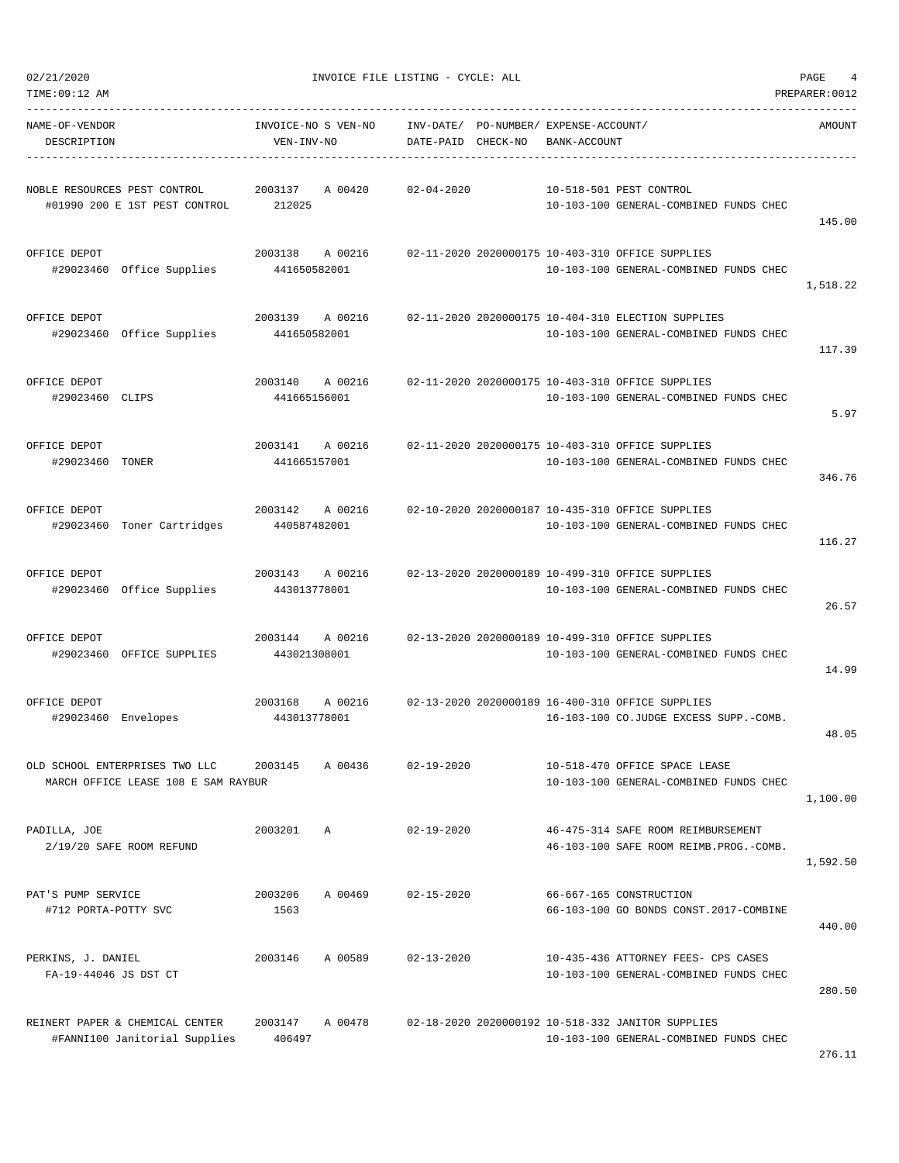145.00

117.39

5.97

346.76

116.27

26.57

14.99

48.05

TIME:09:12 AM PREPARER:0012 ----------------------------------------------------------------------------------------------------------------------------------- NAME-OF-VENDOR INVOICE-NO S VEN-NO INV-DATE/ PO-NUMBER/ EXPENSE-ACCOUNT/ AMOUNT DESCRIPTION VEN-INV-NO DATE-PAID CHECK-NO BANK-ACCOUNT ----------------------------------------------------------------------------------------------------------------------------------- NOBLE RESOURCES PEST CONTROL 2003137 A 00420 02-04-2020 10-518-501 PEST CONTROL #01990 200 E 1ST PEST CONTROL 212025 10-103-100 GENERAL-COMBINED FUNDS CHEC OFFICE DEPOT 2003138 A 00216 02-11-2020 2020000175 10-403-310 OFFICE SUPPLIES #29023460 Office Supplies 441650582001 10-103-100 GENERAL-COMBINED FUNDS CHEC 1,518.22 OFFICE DEPOT 2003139 A 00216 02-11-2020 2020000175 10-404-310 ELECTION SUPPLIES #29023460 Office Supplies 441650582001 10-103-100 GENERAL-COMBINED FUNDS CHEC OFFICE DEPOT 2003140 A 00216 02-11-2020 2020000175 10-403-310 OFFICE SUPPLIES #29023460 CLIPS 441665156001 10-103-100 GENERAL-COMBINED FUNDS CHEC OFFICE DEPOT 2003141 A 00216 02-11-2020 2020000175 10-403-310 OFFICE SUPPLIES #29023460 TONER 441665157001 10-103-100 GENERAL-COMBINED FUNDS CHEC OFFICE DEPOT 2003142 A 00216 02-10-2020 2020000187 10-435-310 OFFICE SUPPLIES #29023460 Toner Cartridges 440587482001 10-103-100 GENERAL-COMBINED FUNDS CHEC OFFICE DEPOT 2003143 A 00216 02-13-2020 2020000189 10-499-310 OFFICE SUPPLIES #29023460 Office Supplies 443013778001 10-103-100 GENERAL-COMBINED FUNDS CHEC OFFICE DEPOT 2003144 A 00216 02-13-2020 2020000189 10-499-310 OFFICE SUPPLIES #29023460 OFFICE SUPPLIES 443021308001 10-103-100 GENERAL-COMBINED FUNDS CHEC OFFICE DEPOT 2003168 A 00216 02-13-2020 2020000189 16-400-310 OFFICE SUPPLIES #29023460 Envelopes 443013778001 16-103-100 CO.JUDGE EXCESS SUPP.-COMB. OLD SCHOOL ENTERPRISES TWO LLC 2003145 A 00436 02-19-2020 10-518-470 OFFICE SPACE LEASE MARCH OFFICE LEASE 108 E SAM RAYBUR 10-103-100 GENERAL-COMBINED FUNDS CHEC 1,100.00 PADILLA, JOE 2003201 A 02-19-2020 46-475-314 SAFE ROOM REIMBURSEMENT 2/19/20 SAFE ROOM REFUND 46-103-100 SAFE ROOM REIMB.PROG.-COMB. 1,592.50 PAT'S PUMP SERVICE 2003206 A 00469 02-15-2020 66-667-165 CONSTRUCTION #712 PORTA-POTTY SVC 1563 66-103-100 GO BONDS CONST.2017-COMBINE PERKINS, J. DANIEL 2003146 A 00589 02-13-2020 10-435-436 ATTORNEY FEES- CPS CASES FA-19-44046 JS DST CT 10-103-100 GENERAL-COMBINED FUNDS CHEC REINERT PAPER & CHEMICAL CENTER 2003147 A 00478 02-18-2020 2020000192 10-518-332 JANITOR SUPPLIES #FANNI100 Janitorial Supplies 406497 10-103-100 GENERAL-COMBINED FUNDS CHEC

276.11

440.00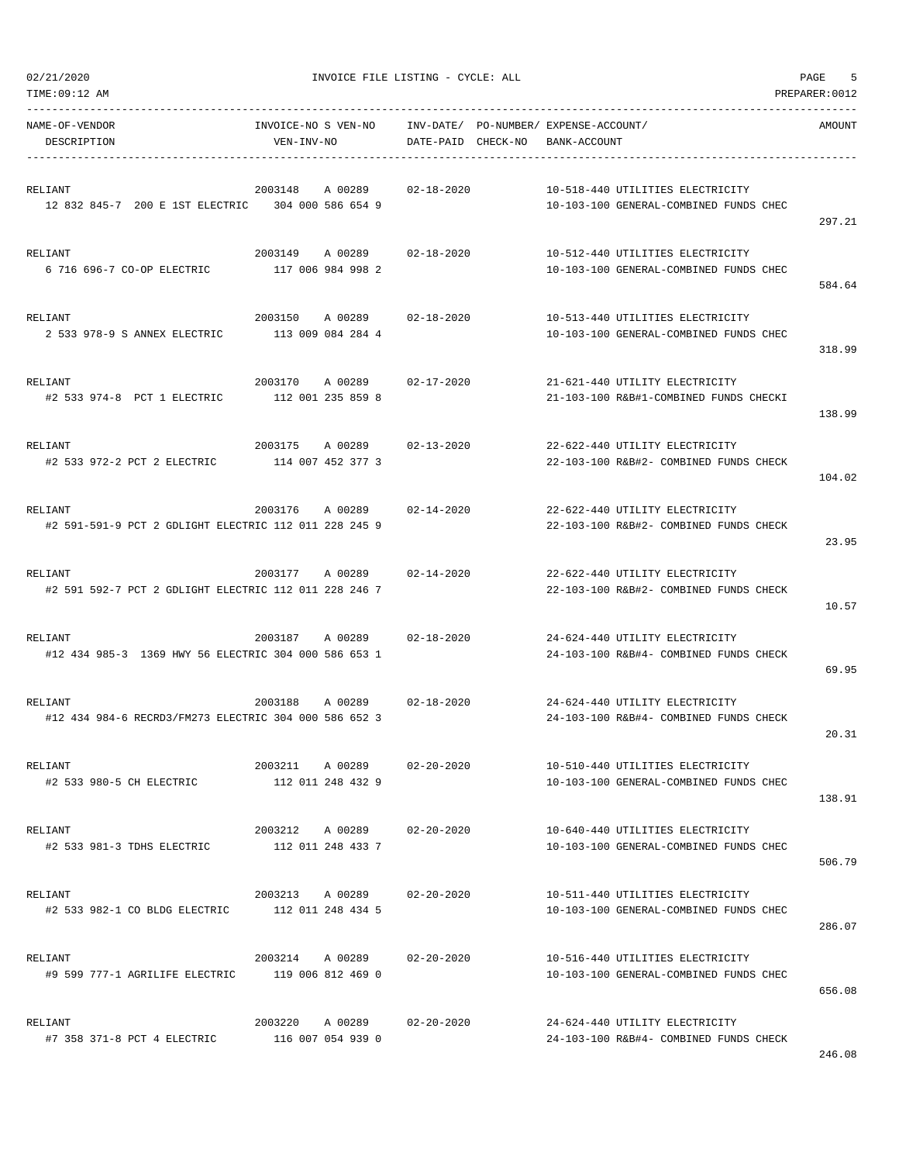| TIME:09:12 AM                                                   |                                                 |                    |                                       |                                                                            | PREPARER:0012 |
|-----------------------------------------------------------------|-------------------------------------------------|--------------------|---------------------------------------|----------------------------------------------------------------------------|---------------|
| NAME-OF-VENDOR                                                  | INVOICE-NO S VEN-NO                             |                    | INV-DATE/ PO-NUMBER/ EXPENSE-ACCOUNT/ |                                                                            | AMOUNT        |
| DESCRIPTION                                                     | VEN-INV-NO                                      | DATE-PAID CHECK-NO | BANK-ACCOUNT                          |                                                                            |               |
|                                                                 |                                                 |                    |                                       |                                                                            |               |
| RELIANT                                                         | 2003148                                         | A 00289 02-18-2020 |                                       | 10-518-440 UTILITIES ELECTRICITY                                           |               |
| 12 832 845-7 200 E 1ST ELECTRIC 304 000 586 654 9               |                                                 |                    |                                       | 10-103-100 GENERAL-COMBINED FUNDS CHEC                                     |               |
|                                                                 |                                                 |                    |                                       |                                                                            | 297.21        |
| RELIANT                                                         | 2003149 A 00289 02-18-2020                      |                    |                                       | 10-512-440 UTILITIES ELECTRICITY                                           |               |
| 6 716 696-7 CO-OP ELECTRIC 117 006 984 998 2                    |                                                 |                    |                                       | 10-103-100 GENERAL-COMBINED FUNDS CHEC                                     |               |
|                                                                 |                                                 |                    |                                       |                                                                            | 584.64        |
|                                                                 |                                                 |                    |                                       |                                                                            |               |
| RELIANT                                                         | 2003150 A 00289                                 | 02-18-2020         |                                       | 10-513-440 UTILITIES ELECTRICITY                                           |               |
| 2 533 978-9 S ANNEX ELECTRIC 113 009 084 284 4                  |                                                 |                    |                                       | 10-103-100 GENERAL-COMBINED FUNDS CHEC                                     | 318.99        |
|                                                                 |                                                 |                    |                                       |                                                                            |               |
| RELIANT                                                         | 2003170 A 00289 02-17-2020                      |                    |                                       | 21-621-440 UTILITY ELECTRICITY                                             |               |
| #2 533 974-8 PCT 1 ELECTRIC                                     | 112 001 235 859 8                               |                    |                                       | 21-103-100 R&B#1-COMBINED FUNDS CHECKI                                     |               |
|                                                                 |                                                 |                    |                                       |                                                                            | 138.99        |
| RELIANT                                                         | 2003175 A 00289 02-13-2020                      |                    |                                       | 22-622-440 UTILITY ELECTRICITY                                             |               |
| #2 533 972-2 PCT 2 ELECTRIC 114 007 452 377 3                   |                                                 |                    |                                       | 22-103-100 R&B#2- COMBINED FUNDS CHECK                                     |               |
|                                                                 |                                                 |                    |                                       |                                                                            | 104.02        |
|                                                                 |                                                 |                    |                                       |                                                                            |               |
| RELIANT                                                         | 2003176<br>A 00289                              | 02-14-2020         |                                       | 22-622-440 UTILITY ELECTRICITY                                             |               |
| #2 591-591-9 PCT 2 GDLIGHT ELECTRIC 112 011 228 245 9           |                                                 |                    |                                       | 22-103-100 R&B#2- COMBINED FUNDS CHECK                                     |               |
|                                                                 |                                                 |                    |                                       |                                                                            | 23.95         |
| RELIANT                                                         | 2003177 A 00289                                 | 02-14-2020         |                                       | 22-622-440 UTILITY ELECTRICITY                                             |               |
| #2 591 592-7 PCT 2 GDLIGHT ELECTRIC 112 011 228 246 7           |                                                 |                    |                                       | 22-103-100 R&B#2- COMBINED FUNDS CHECK                                     |               |
|                                                                 |                                                 |                    |                                       |                                                                            | 10.57         |
|                                                                 |                                                 |                    |                                       |                                                                            |               |
| RELIANT<br>#12 434 985-3 1369 HWY 56 ELECTRIC 304 000 586 653 1 | 2003187 A 00289 02-18-2020                      |                    |                                       | 24-624-440 UTILITY ELECTRICITY<br>24-103-100 R&B#4- COMBINED FUNDS CHECK   |               |
|                                                                 |                                                 |                    |                                       |                                                                            | 69.95         |
|                                                                 |                                                 |                    |                                       |                                                                            |               |
| RELIANT                                                         | 2003188<br>A 00289                              | 02-18-2020         |                                       | 24-624-440 UTILITY ELECTRICITY                                             |               |
| #12 434 984-6 RECRD3/FM273 ELECTRIC 304 000 586 652 3           |                                                 |                    |                                       | 24-103-100 R&B#4- COMBINED FUNDS CHECK                                     |               |
|                                                                 |                                                 |                    |                                       |                                                                            | 20.31         |
| RELIANT                                                         | 2003211 A 00289                                 | 02-20-2020         |                                       | 10-510-440 UTILITIES ELECTRICITY                                           |               |
| #2 533 980-5 CH ELECTRIC                                        | 112 011 248 432 9                               |                    |                                       | 10-103-100 GENERAL-COMBINED FUNDS CHEC                                     |               |
|                                                                 |                                                 |                    |                                       |                                                                            | 138.91        |
|                                                                 |                                                 |                    |                                       |                                                                            |               |
| RELIANT<br>#2 533 981-3 TDHS ELECTRIC                           | 2003212 A 00289 02-20-2020<br>112 011 248 433 7 |                    |                                       | 10-640-440 UTILITIES ELECTRICITY<br>10-103-100 GENERAL-COMBINED FUNDS CHEC |               |
|                                                                 |                                                 |                    |                                       |                                                                            | 506.79        |
|                                                                 |                                                 |                    |                                       |                                                                            |               |
| RELIANT                                                         | 2003213 A 00289 02-20-2020                      |                    |                                       | 10-511-440 UTILITIES ELECTRICITY                                           |               |
| #2 533 982-1 CO BLDG ELECTRIC 112 011 248 434 5                 |                                                 |                    |                                       | 10-103-100 GENERAL-COMBINED FUNDS CHEC                                     |               |
|                                                                 |                                                 |                    |                                       |                                                                            | 286.07        |
| RELIANT                                                         | 2003214 A 00289                                 | 02-20-2020         |                                       | 10-516-440 UTILITIES ELECTRICITY                                           |               |
| #9 599 777-1 AGRILIFE ELECTRIC 119 006 812 469 0                |                                                 |                    |                                       | 10-103-100 GENERAL-COMBINED FUNDS CHEC                                     |               |
|                                                                 |                                                 |                    |                                       |                                                                            | 656.08        |
|                                                                 |                                                 |                    |                                       |                                                                            |               |
| RELIANT<br>#7 358 371-8 PCT 4 ELECTRIC                          | 2003220 A 00289<br>116 007 054 939 0            | 02-20-2020         |                                       | 24-624-440 UTILITY ELECTRICITY<br>24-103-100 R&B#4- COMBINED FUNDS CHECK   |               |
|                                                                 |                                                 |                    |                                       |                                                                            |               |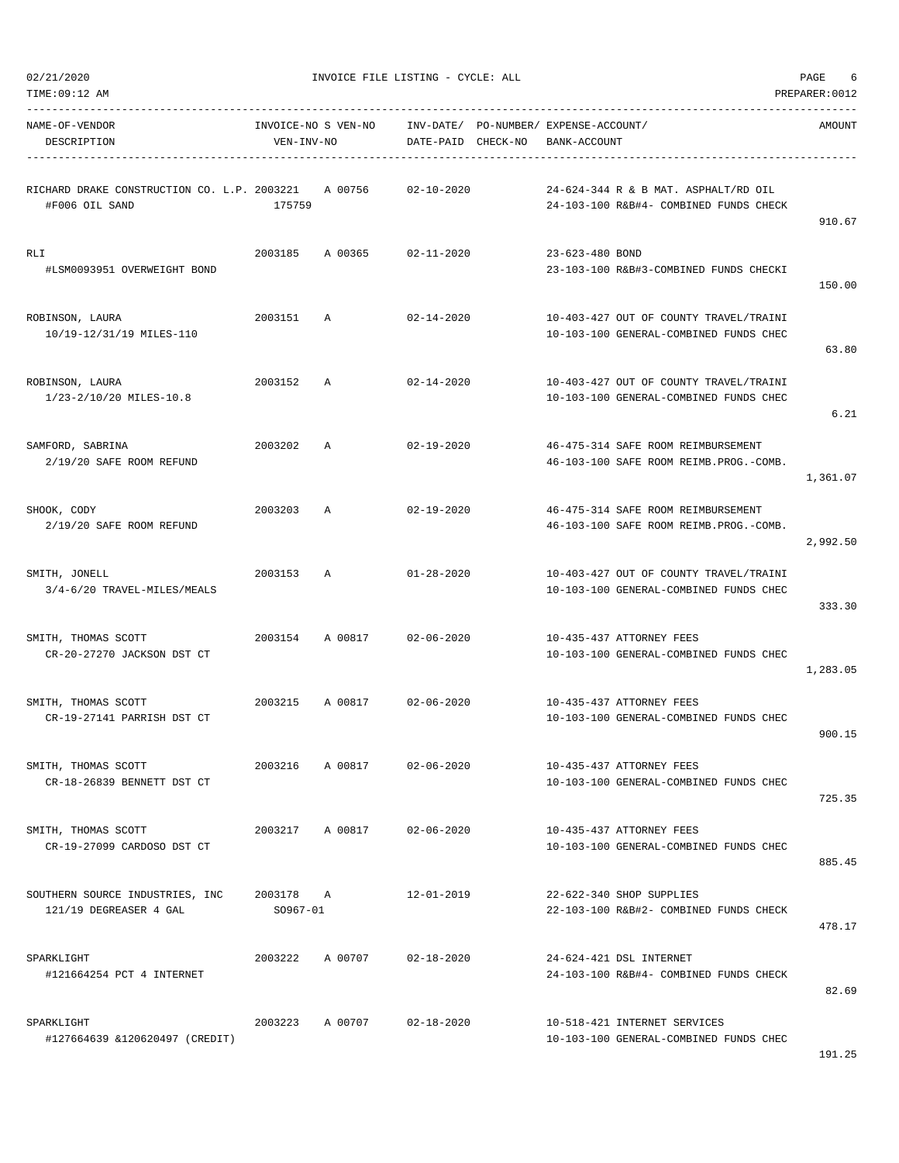|  | 02/21/2020 |  |
|--|------------|--|
|  |            |  |

| NAME-OF-VENDOR<br>DESCRIPTION                                 | INVOICE-NO S VEN-NO<br>VEN-INV-NO |              | DATE-PAID CHECK-NO         | INV-DATE/ PO-NUMBER/ EXPENSE-ACCOUNT/<br>BANK-ACCOUNT                            | AMOUNT   |
|---------------------------------------------------------------|-----------------------------------|--------------|----------------------------|----------------------------------------------------------------------------------|----------|
| RICHARD DRAKE CONSTRUCTION CO. L.P. 2003221<br>#F006 OIL SAND | 175759                            | A 00756      | $02 - 10 - 2020$           | 24-624-344 R & B MAT. ASPHALT/RD OIL<br>24-103-100 R&B#4- COMBINED FUNDS CHECK   | 910.67   |
| RLI<br>#LSM0093951 OVERWEIGHT BOND                            |                                   |              | 2003185 A 00365 02-11-2020 | 23-623-480 BOND<br>23-103-100 R&B#3-COMBINED FUNDS CHECKI                        | 150.00   |
| ROBINSON, LAURA<br>10/19-12/31/19 MILES-110                   | 2003151                           | $\mathbb{A}$ | 02-14-2020                 | 10-403-427 OUT OF COUNTY TRAVEL/TRAINI<br>10-103-100 GENERAL-COMBINED FUNDS CHEC | 63.80    |
| ROBINSON, LAURA<br>1/23-2/10/20 MILES-10.8                    | 2003152 A                         |              | 02-14-2020                 | 10-403-427 OUT OF COUNTY TRAVEL/TRAINI<br>10-103-100 GENERAL-COMBINED FUNDS CHEC | 6.21     |
| SAMFORD, SABRINA<br>2/19/20 SAFE ROOM REFUND                  | 2003202                           | A            | 02-19-2020                 | 46-475-314 SAFE ROOM REIMBURSEMENT<br>46-103-100 SAFE ROOM REIMB. PROG. - COMB.  | 1,361.07 |
| SHOOK, CODY<br>2/19/20 SAFE ROOM REFUND                       | 2003203                           | A            | $02 - 19 - 2020$           | 46-475-314 SAFE ROOM REIMBURSEMENT<br>46-103-100 SAFE ROOM REIMB. PROG. - COMB.  | 2,992.50 |
| SMITH, JONELL<br>3/4-6/20 TRAVEL-MILES/MEALS                  | 2003153 A                         |              | $01 - 28 - 2020$           | 10-403-427 OUT OF COUNTY TRAVEL/TRAINI<br>10-103-100 GENERAL-COMBINED FUNDS CHEC | 333.30   |
| SMITH, THOMAS SCOTT<br>CR-20-27270 JACKSON DST CT             |                                   |              | 2003154 A 00817 02-06-2020 | 10-435-437 ATTORNEY FEES<br>10-103-100 GENERAL-COMBINED FUNDS CHEC               | 1,283.05 |
| SMITH, THOMAS SCOTT<br>CR-19-27141 PARRISH DST CT             | 2003215                           |              | A 00817 02-06-2020         | 10-435-437 ATTORNEY FEES<br>10-103-100 GENERAL-COMBINED FUNDS CHEC               | 900.15   |
| SMITH, THOMAS SCOTT<br>CR-18-26839 BENNETT DST CT             | 2003216                           | A 00817      | $02 - 06 - 2020$           | 10-435-437 ATTORNEY FEES<br>10-103-100 GENERAL-COMBINED FUNDS CHEC               | 725.35   |
| SMITH, THOMAS SCOTT<br>CR-19-27099 CARDOSO DST CT             | 2003217                           | A 00817      | $02 - 06 - 2020$           | 10-435-437 ATTORNEY FEES<br>10-103-100 GENERAL-COMBINED FUNDS CHEC               | 885.45   |
| SOUTHERN SOURCE INDUSTRIES, INC<br>121/19 DEGREASER 4 GAL     | 2003178 A<br>$SO967 - 01$         |              | $12 - 01 - 2019$           | 22-622-340 SHOP SUPPLIES<br>22-103-100 R&B#2- COMBINED FUNDS CHECK               | 478.17   |
| SPARKLIGHT<br>#121664254 PCT 4 INTERNET                       | 2003222                           | A 00707      | $02 - 18 - 2020$           | 24-624-421 DSL INTERNET<br>24-103-100 R&B#4- COMBINED FUNDS CHECK                | 82.69    |
| SPARKLIGHT<br>#127664639 &120620497 (CREDIT)                  | 2003223                           | A 00707      | $02 - 18 - 2020$           | 10-518-421 INTERNET SERVICES<br>10-103-100 GENERAL-COMBINED FUNDS CHEC           |          |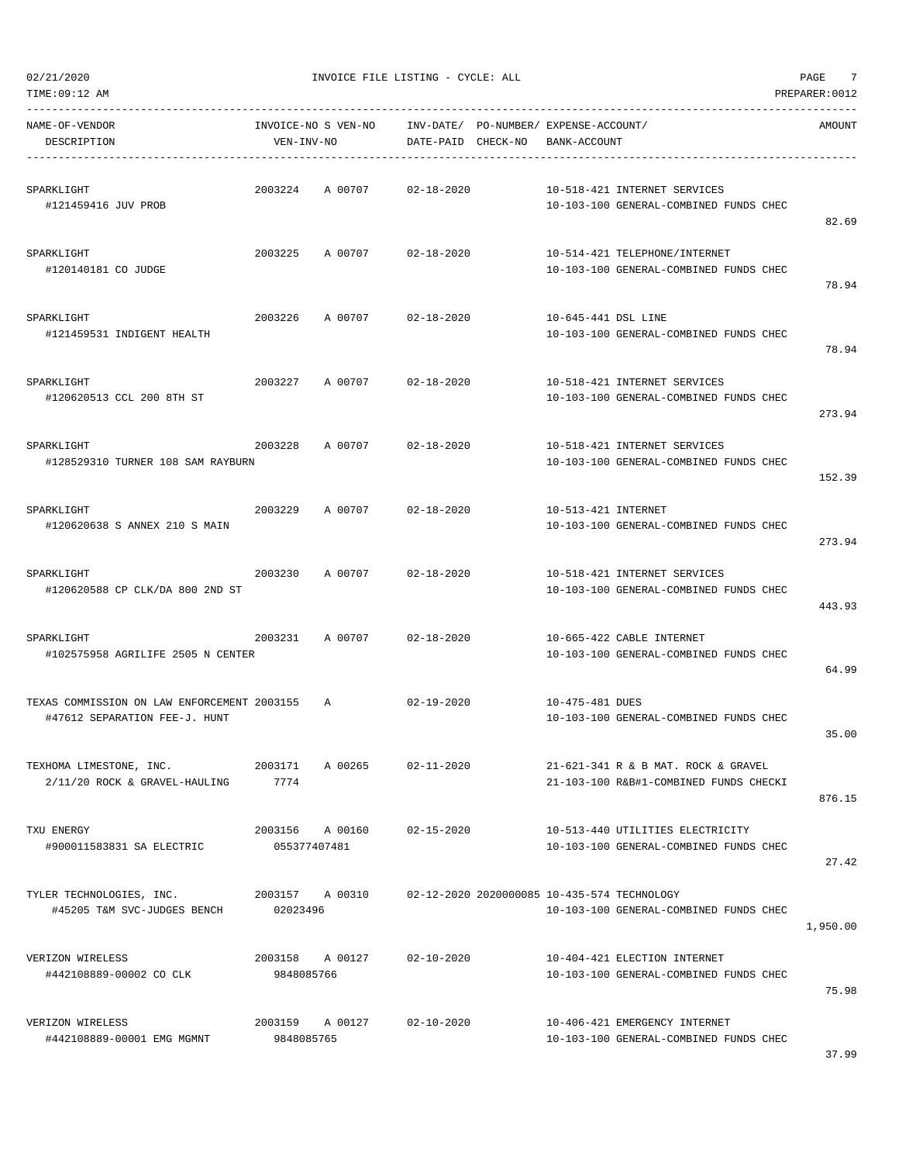$02/21/2020$  PAGE 7

| NAME-OF-VENDOR<br>DESCRIPTION                                                  | VEN-INV-NO              | INVOICE-NO S VEN-NO INV-DATE/ PO-NUMBER/ EXPENSE-ACCOUNT/   |                  | DATE-PAID CHECK-NO BANK-ACCOUNT |                                                                               | AMOUNT   |
|--------------------------------------------------------------------------------|-------------------------|-------------------------------------------------------------|------------------|---------------------------------|-------------------------------------------------------------------------------|----------|
| SPARKLIGHT<br>#121459416 JUV PROB                                              |                         | 2003224 A 00707 02-18-2020                                  |                  |                                 | 10-518-421 INTERNET SERVICES<br>10-103-100 GENERAL-COMBINED FUNDS CHEC        | 82.69    |
| SPARKLIGHT<br>#120140181 CO JUDGE                                              |                         | 2003225 A 00707 02-18-2020                                  |                  |                                 | 10-514-421 TELEPHONE/INTERNET<br>10-103-100 GENERAL-COMBINED FUNDS CHEC       | 78.94    |
| SPARKLIGHT<br>#121459531 INDIGENT HEALTH                                       | 2003226                 | A 00707 02-18-2020                                          |                  | 10-645-441 DSL LINE             | 10-103-100 GENERAL-COMBINED FUNDS CHEC                                        | 78.94    |
| SPARKLIGHT<br>#120620513 CCL 200 8TH ST                                        |                         | 2003227 A 00707 02-18-2020                                  |                  |                                 | 10-518-421 INTERNET SERVICES<br>10-103-100 GENERAL-COMBINED FUNDS CHEC        | 273.94   |
| SPARKLIGHT<br>#128529310 TURNER 108 SAM RAYBURN                                |                         | 2003228 A 00707 02-18-2020                                  |                  |                                 | 10-518-421 INTERNET SERVICES<br>10-103-100 GENERAL-COMBINED FUNDS CHEC        | 152.39   |
| SPARKLIGHT<br>#120620638 S ANNEX 210 S MAIN                                    |                         | 2003229 A 00707 02-18-2020                                  |                  | 10-513-421 INTERNET             | 10-103-100 GENERAL-COMBINED FUNDS CHEC                                        | 273.94   |
| SPARKLIGHT<br>#120620588 CP CLK/DA 800 2ND ST                                  | 2003230                 | A 00707 02-18-2020                                          |                  |                                 | 10-518-421 INTERNET SERVICES<br>10-103-100 GENERAL-COMBINED FUNDS CHEC        | 443.93   |
| SPARKLIGHT<br>#102575958 AGRILIFE 2505 N CENTER                                |                         | 2003231 A00707 02-18-2020                                   |                  |                                 | 10-665-422 CABLE INTERNET<br>10-103-100 GENERAL-COMBINED FUNDS CHEC           | 64.99    |
| TEXAS COMMISSION ON LAW ENFORCEMENT 2003155 A<br>#47612 SEPARATION FEE-J. HUNT |                         |                                                             | 02-19-2020       | 10-475-481 DUES                 | 10-103-100 GENERAL-COMBINED FUNDS CHEC                                        | 35.00    |
| TEXHOMA LIMESTONE, INC.<br>2/11/20 ROCK & GRAVEL-HAULING                       | 2003171 A 00265<br>7774 |                                                             | $02 - 11 - 2020$ |                                 | 21-621-341 R & B MAT. ROCK & GRAVEL<br>21-103-100 R&B#1-COMBINED FUNDS CHECKI | 876.15   |
| TXU ENERGY<br>#900011583831 SA ELECTRIC                                        | 055377407481            | 2003156 A 00160 02-15-2020                                  |                  |                                 | 10-513-440 UTILITIES ELECTRICITY<br>10-103-100 GENERAL-COMBINED FUNDS CHEC    | 27.42    |
| TYLER TECHNOLOGIES, INC.<br>#45205 T&M SVC-JUDGES BENCH 02023496               |                         | 2003157 A 00310 02-12-2020 2020000085 10-435-574 TECHNOLOGY |                  |                                 | 10-103-100 GENERAL-COMBINED FUNDS CHEC                                        | 1,950.00 |
| VERIZON WIRELESS<br>#442108889-00002 CO CLK                                    | 9848085766              | 2003158 A 00127                                             | $02 - 10 - 2020$ |                                 | 10-404-421 ELECTION INTERNET<br>10-103-100 GENERAL-COMBINED FUNDS CHEC        | 75.98    |
| VERIZON WIRELESS<br>#442108889-00001 EMG MGMNT                                 | 9848085765              | 2003159 A 00127 02-10-2020                                  |                  |                                 | 10-406-421 EMERGENCY INTERNET<br>10-103-100 GENERAL-COMBINED FUNDS CHEC       |          |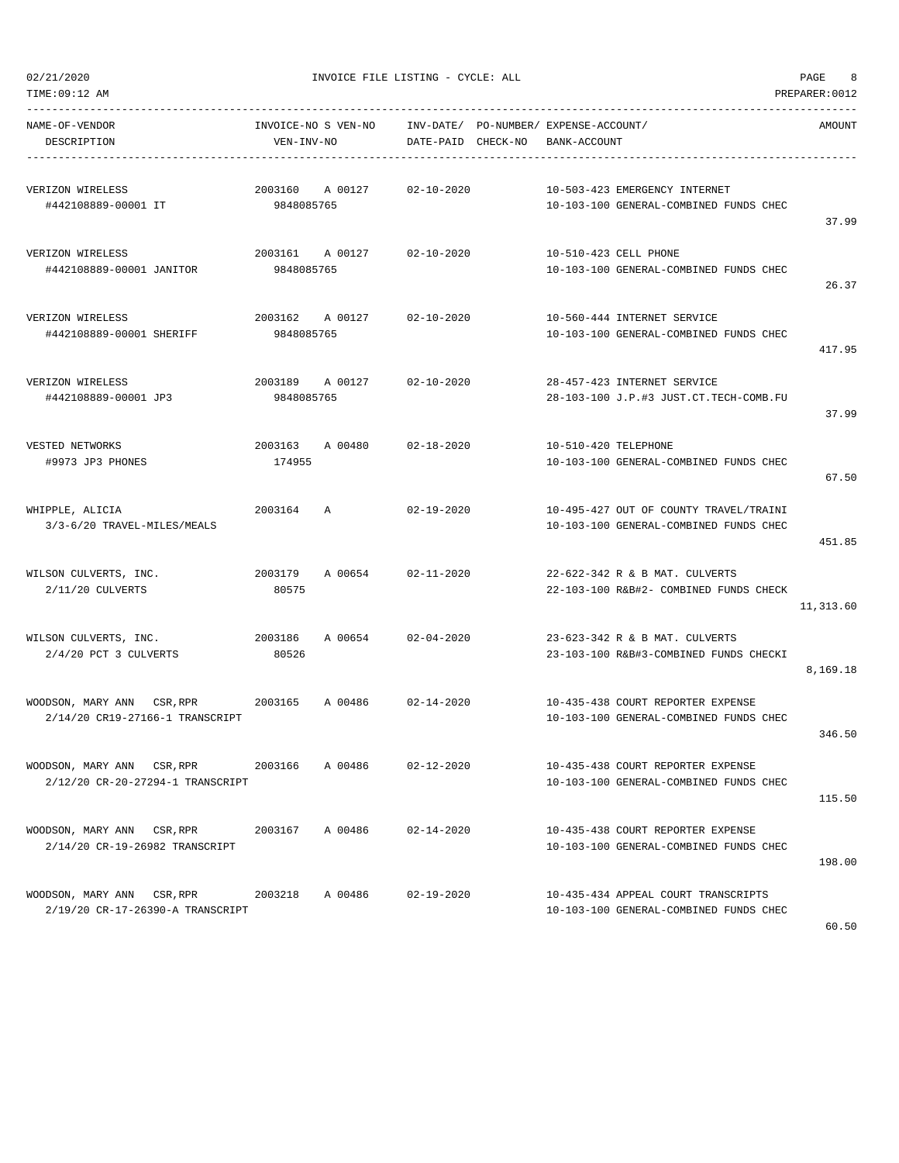TIME:09:12 AM PREPARER:0012

| NAME-OF-VENDOR<br>DESCRIPTION                                  | INVOICE-NO S VEN-NO<br>VEN-INV-NO |                            | DATE-PAID CHECK-NO | INV-DATE/ PO-NUMBER/ EXPENSE-ACCOUNT/<br>BANK-ACCOUNT                         | AMOUNT    |
|----------------------------------------------------------------|-----------------------------------|----------------------------|--------------------|-------------------------------------------------------------------------------|-----------|
| VERIZON WIRELESS                                               | 2003160                           | A 00127                    | 02-10-2020         | 10-503-423 EMERGENCY INTERNET                                                 |           |
| #442108889-00001 IT                                            | 9848085765                        |                            |                    | 10-103-100 GENERAL-COMBINED FUNDS CHEC                                        | 37.99     |
| VERIZON WIRELESS                                               | 2003161 A 00127                   |                            | 02-10-2020         | 10-510-423 CELL PHONE                                                         |           |
| #442108889-00001 JANITOR                                       | 9848085765                        |                            |                    | 10-103-100 GENERAL-COMBINED FUNDS CHEC                                        | 26.37     |
| VERIZON WIRELESS                                               | 2003162 A 00127                   |                            | 02-10-2020         | 10-560-444 INTERNET SERVICE                                                   |           |
| #442108889-00001 SHERIFF                                       | 9848085765                        |                            |                    | 10-103-100 GENERAL-COMBINED FUNDS CHEC                                        | 417.95    |
| VERIZON WIRELESS                                               | 2003189 A 00127                   |                            | 02-10-2020         | 28-457-423 INTERNET SERVICE                                                   |           |
| #442108889-00001 JP3                                           | 9848085765                        |                            |                    | 28-103-100 J.P.#3 JUST.CT.TECH-COMB.FU                                        | 37.99     |
| VESTED NETWORKS                                                | 2003163 A 00480                   |                            | 02-18-2020         | 10-510-420 TELEPHONE                                                          |           |
| #9973 JP3 PHONES                                               | 174955                            |                            |                    | 10-103-100 GENERAL-COMBINED FUNDS CHEC                                        | 67.50     |
| WHIPPLE, ALICIA                                                | 2003164                           | $\mathbb{A}$               | $02 - 19 - 2020$   | 10-495-427 OUT OF COUNTY TRAVEL/TRAINI                                        |           |
| 3/3-6/20 TRAVEL-MILES/MEALS                                    |                                   |                            |                    | 10-103-100 GENERAL-COMBINED FUNDS CHEC                                        | 451.85    |
| WILSON CULVERTS, INC.                                          | 2003179                           | A 00654                    | 02-11-2020         | 22-622-342 R & B MAT. CULVERTS                                                |           |
| 2/11/20 CULVERTS                                               | 80575                             |                            |                    | 22-103-100 R&B#2- COMBINED FUNDS CHECK                                        | 11,313.60 |
| WILSON CULVERTS, INC.<br>2/4/20 PCT 3 CULVERTS                 | 2003186<br>80526                  | A 00654                    | $02 - 04 - 2020$   | 23-623-342 R & B MAT. CULVERTS<br>23-103-100 R&B#3-COMBINED FUNDS CHECKI      |           |
|                                                                |                                   |                            |                    |                                                                               | 8,169.18  |
| WOODSON, MARY ANN CSR, RPR<br>2/14/20 CR19-27166-1 TRANSCRIPT  | 2003165 A 00486                   |                            | $02 - 14 - 2020$   | 10-435-438 COURT REPORTER EXPENSE<br>10-103-100 GENERAL-COMBINED FUNDS CHEC   |           |
|                                                                |                                   |                            |                    |                                                                               | 346.50    |
| WOODSON, MARY ANN CSR, RPR<br>2/12/20 CR-20-27294-1 TRANSCRIPT | 2003166                           | A 00486                    | $02 - 12 - 2020$   | 10-435-438 COURT REPORTER EXPENSE<br>10-103-100 GENERAL-COMBINED FUNDS CHEC   |           |
|                                                                |                                   |                            |                    |                                                                               | 115.50    |
| WOODSON, MARY ANN CSR, RPR<br>2/14/20 CR-19-26982 TRANSCRIPT   | 2003167 A 00486                   |                            | 02-14-2020         | 10-435-438 COURT REPORTER EXPENSE<br>10-103-100 GENERAL-COMBINED FUNDS CHEC   |           |
|                                                                |                                   |                            |                    |                                                                               | 198.00    |
| WOODSON, MARY ANN CSR, RPR<br>2/19/20 CR-17-26390-A TRANSCRIPT |                                   | 2003218 A 00486 02-19-2020 |                    | 10-435-434 APPEAL COURT TRANSCRIPTS<br>10-103-100 GENERAL-COMBINED FUNDS CHEC |           |
|                                                                |                                   |                            |                    |                                                                               |           |